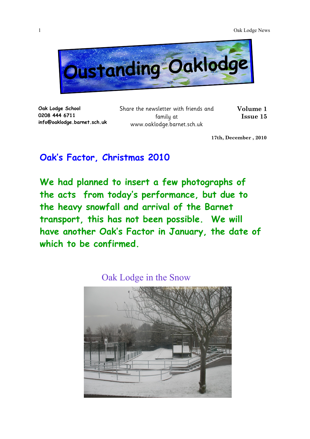

**Oak Lodge School 0208 444 6711 info@oaklodge.barnet.sch.uk** Share the newsletter with friends and family at www.oaklodge.barnet.sch.uk

**Volume 1 Issue 15** 

**17th, December , 2010**

## **Oak's Factor, Christmas 2010**

**We had planned to insert a few photographs of the acts from today's performance, but due to the heavy snowfall and arrival of the Barnet transport, this has not been possible. We will have another Oak's Factor in January, the date of which to be confirmed.**

Oak Lodge in the Snow

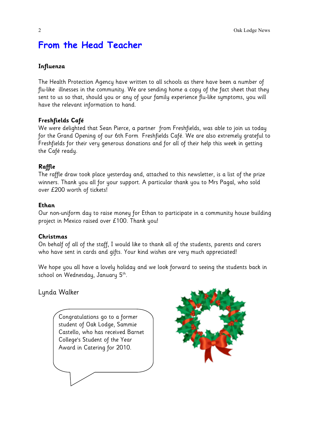# **From the Head Teacher**

#### **Influenza**

The Health Protection Agency have written to all schools as there have been a number of flu-like illnesses in the community. We are sending home a copy of the fact sheet that they sent to us so that, should you or any of your family experience flu-like symptoms, you will have the relevant information to hand.

#### **Freshfields Café**

We were delighted that Sean Pierce, a partner from Freshfields, was able to join us today for the Grand Opening of our 6th Form Freshfields Café. We are also extremely grateful to Freshfields for their very generous donations and for all of their help this week in getting the Café ready.

#### **Raffle**

The raffle draw took place yesterday and, attached to this newsletter, is a list of the prize winners. Thank you all for your support. A particular thank you to Mrs Pagal, who sold over £200 worth of tickets!

#### **Ethan**

Our non-uniform day to raise money for Ethan to participate in a community house building project in Mexico raised over £100. Thank you!

#### **Christmas**

On behalf of all of the staff, I would like to thank all of the students, parents and carers who have sent in cards and gifts. Your kind wishes are very much appreciated!

We hope you all have a lovely holiday and we look forward to seeing the students back in school on Wednesday, January 5<sup>th</sup>.

Lynda Walker

Congratulations go to a former student of Oak Lodge, Sammie Castello, who has received Barnet College's Student of the Year Award in Catering for 2010.

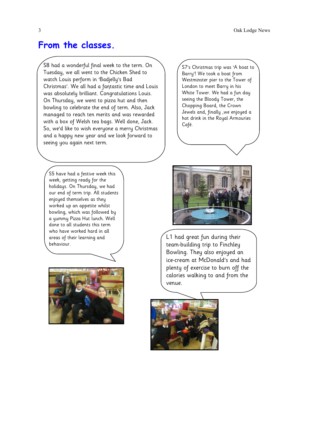### **From the classes.**

S8 had a wonderful final week to the term. On Tuesday, we all went to the Chicken Shed to watch Louis perform in 'Badjelly's Bad Christmas'. We all had a fantastic time and Louis was absolutely brilliant. Congratulations Louis. On Thursday, we went to pizza hut and then bowling to celebrate the end of term. Also, Jack managed to reach ten merits and was rewarded with a box of Welsh tea bags. Well done, Jack. So, we'd like to wish everyone a merry Christmas and a happy new year and we look forward to seeing you again next term.

S5 have had a festive week this week, getting ready for the holidays. On Thursday, we had our end of term trip. All students enjoyed themselves as they worked up an appetite whilst bowling, which was followed by a yummy Pizza Hut lunch. Well done to all students this term who have worked hard in all areas of their learning and behaviour.



S7's Christmas trip was 'A boat to Barry'! We took a boat from Westminster pier to the Tower of London to meet Barry in his White Tower. We had a fun day seeing the Bloody Tower, the Chopping Board, the Crown Jewels and, finally ,we enjoyed a hot drink in the Royal Armouries Café.



L1 had great fun during their team-building trip to Finchley Bowling. They also enjoyed an ice-cream at McDonald's and had plenty of exercise to burn off the calories walking to and from the venue.